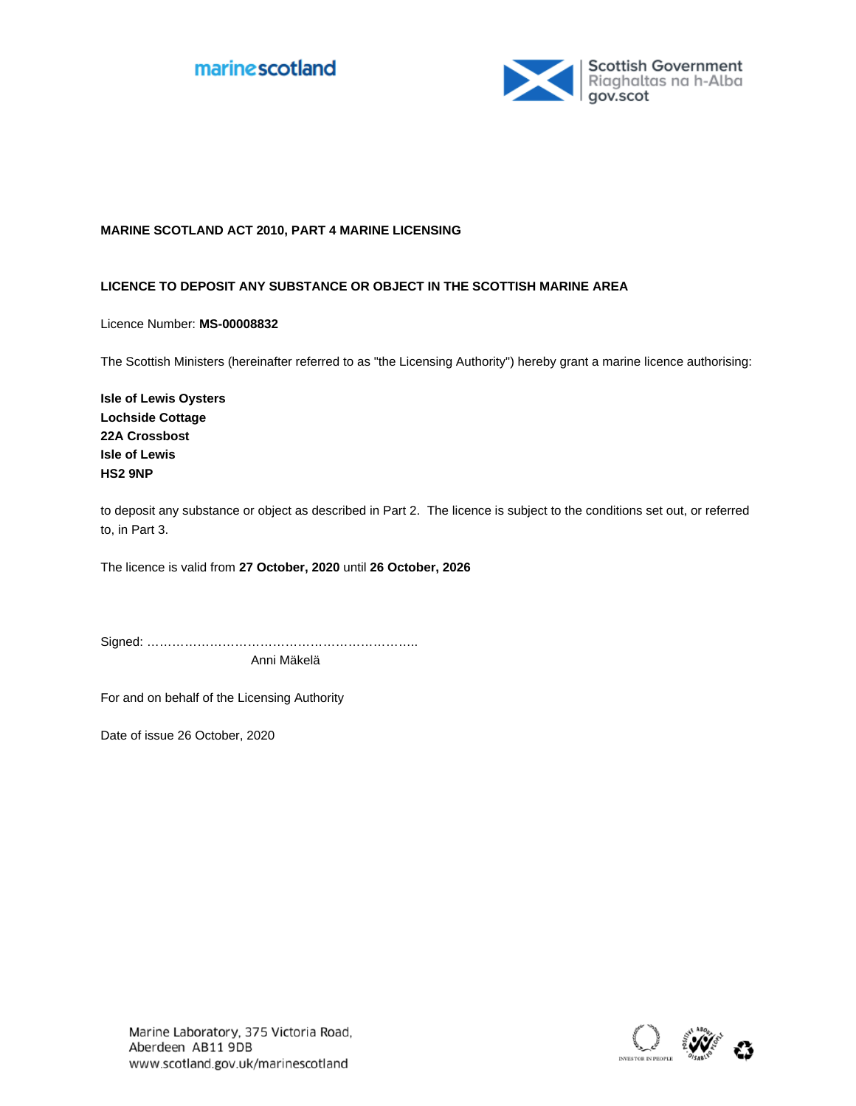



## **MARINE SCOTLAND ACT 2010, PART 4 MARINE LICENSING**

## **LICENCE TO DEPOSIT ANY SUBSTANCE OR OBJECT IN THE SCOTTISH MARINE AREA**

Licence Number: **MS-00008832**

The Scottish Ministers (hereinafter referred to as "the Licensing Authority") hereby grant a marine licence authorising:

**Isle of Lewis Oysters Lochside Cottage 22A Crossbost Isle of Lewis HS2 9NP**

to deposit any substance or object as described in Part 2. The licence is subject to the conditions set out, or referred to, in Part 3.

The licence is valid from 27 October, 2020 until 26 October, 2026

Signed: ……………………………………………………….. Anni Mäkelä

For and on behalf of the Licensing Authority

Date of issue 26 October, 2020

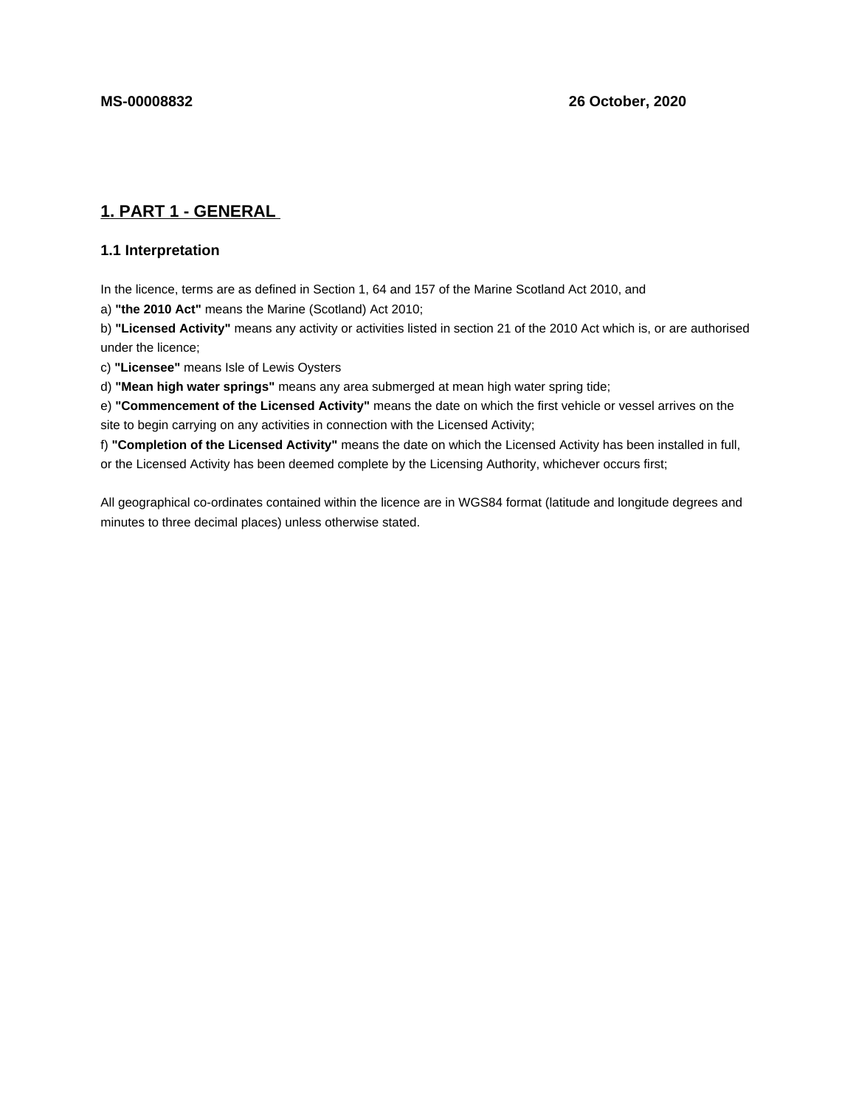# **1. PART 1 - GENERAL**

## **1.1 Interpretation**

In the licence, terms are as defined in Section 1, 64 and 157 of the Marine Scotland Act 2010, and

a) **"the 2010 Act"** means the Marine (Scotland) Act 2010;

b) **"Licensed Activity"** means any activity or activities listed in section 21 of the 2010 Act which is, or are authorised under the licence;

c) **"Licensee"** means Isle of Lewis Oysters

d) **"Mean high water springs"** means any area submerged at mean high water spring tide;

e) **"Commencement of the Licensed Activity"** means the date on which the first vehicle or vessel arrives on the site to begin carrying on any activities in connection with the Licensed Activity;

f) **"Completion of the Licensed Activity"** means the date on which the Licensed Activity has been installed in full, or the Licensed Activity has been deemed complete by the Licensing Authority, whichever occurs first;

All geographical co-ordinates contained within the licence are in WGS84 format (latitude and longitude degrees and minutes to three decimal places) unless otherwise stated.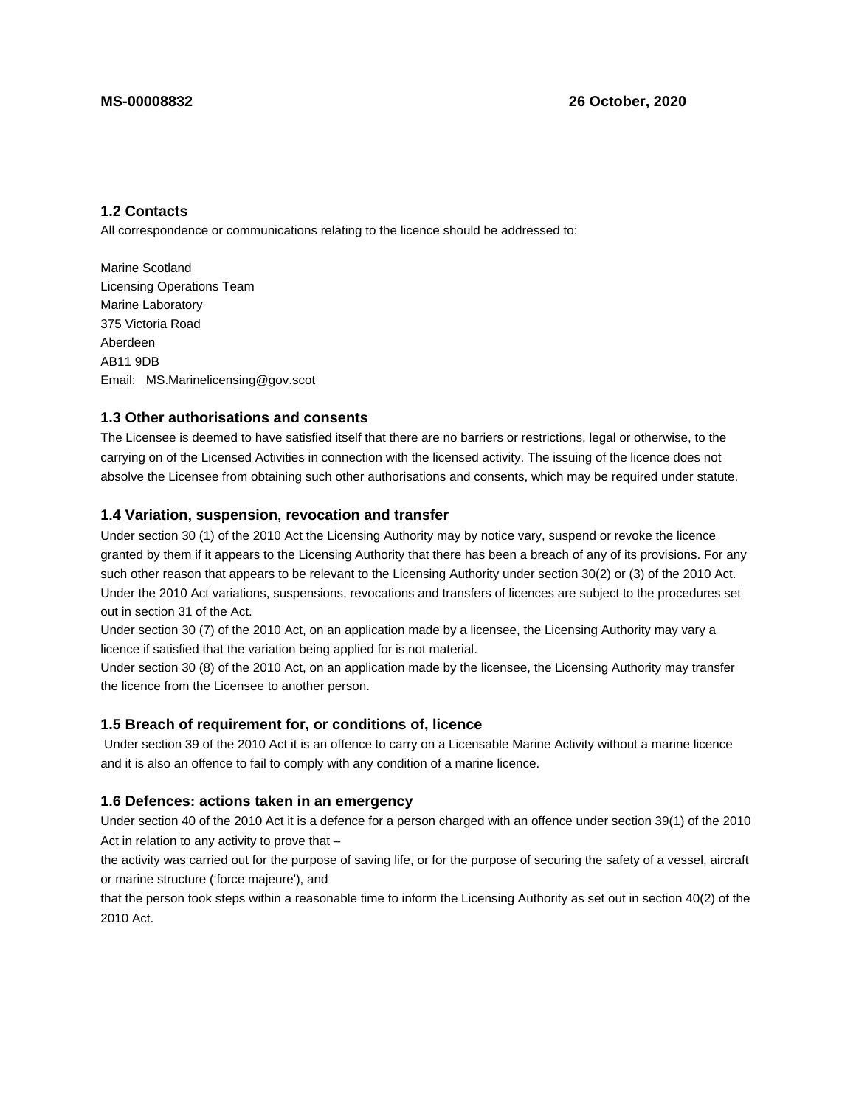# **1.2 Contacts**

All correspondence or communications relating to the licence should be addressed to:

Marine Scotland Licensing Operations Team Marine Laboratory 375 Victoria Road Aberdeen AB11 9DB Email: MS.Marinelicensing@gov.scot

### **1.3 Other authorisations and consents**

The Licensee is deemed to have satisfied itself that there are no barriers or restrictions, legal or otherwise, to the carrying on of the Licensed Activities in connection with the licensed activity. The issuing of the licence does not absolve the Licensee from obtaining such other authorisations and consents, which may be required under statute.

## **1.4 Variation, suspension, revocation and transfer**

Under section 30 (1) of the 2010 Act the Licensing Authority may by notice vary, suspend or revoke the licence granted by them if it appears to the Licensing Authority that there has been a breach of any of its provisions. For any such other reason that appears to be relevant to the Licensing Authority under section 30(2) or (3) of the 2010 Act. Under the 2010 Act variations, suspensions, revocations and transfers of licences are subject to the procedures set out in section 31 of the Act.

Under section 30 (7) of the 2010 Act, on an application made by a licensee, the Licensing Authority may vary a licence if satisfied that the variation being applied for is not material.

Under section 30 (8) of the 2010 Act, on an application made by the licensee, the Licensing Authority may transfer the licence from the Licensee to another person.

## **1.5 Breach of requirement for, or conditions of, licence**

 Under section 39 of the 2010 Act it is an offence to carry on a Licensable Marine Activity without a marine licence and it is also an offence to fail to comply with any condition of a marine licence.

### **1.6 Defences: actions taken in an emergency**

Under section 40 of the 2010 Act it is a defence for a person charged with an offence under section 39(1) of the 2010 Act in relation to any activity to prove that –

the activity was carried out for the purpose of saving life, or for the purpose of securing the safety of a vessel, aircraft or marine structure ('force majeure'), and

that the person took steps within a reasonable time to inform the Licensing Authority as set out in section 40(2) of the 2010 Act.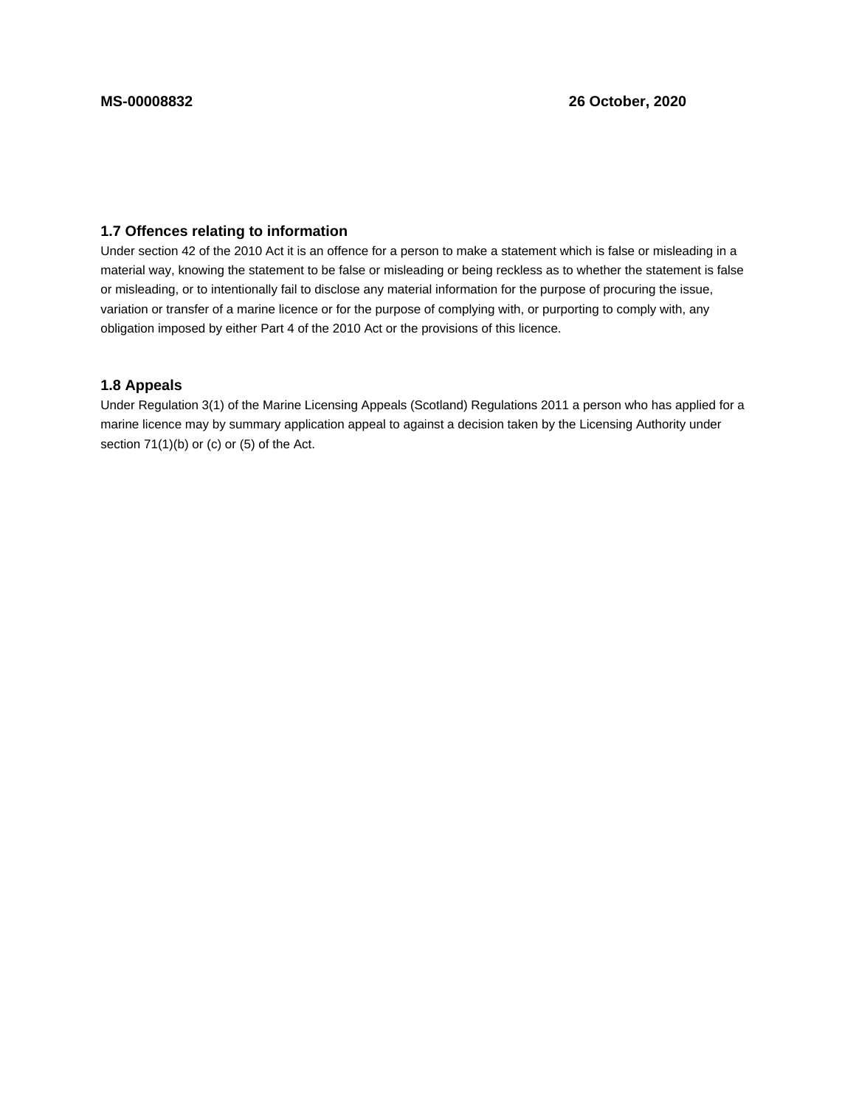# **1.7 Offences relating to information**

Under section 42 of the 2010 Act it is an offence for a person to make a statement which is false or misleading in a material way, knowing the statement to be false or misleading or being reckless as to whether the statement is false or misleading, or to intentionally fail to disclose any material information for the purpose of procuring the issue, variation or transfer of a marine licence or for the purpose of complying with, or purporting to comply with, any obligation imposed by either Part 4 of the 2010 Act or the provisions of this licence.

# **1.8 Appeals**

Under Regulation 3(1) of the Marine Licensing Appeals (Scotland) Regulations 2011 a person who has applied for a marine licence may by summary application appeal to against a decision taken by the Licensing Authority under section 71(1)(b) or (c) or (5) of the Act.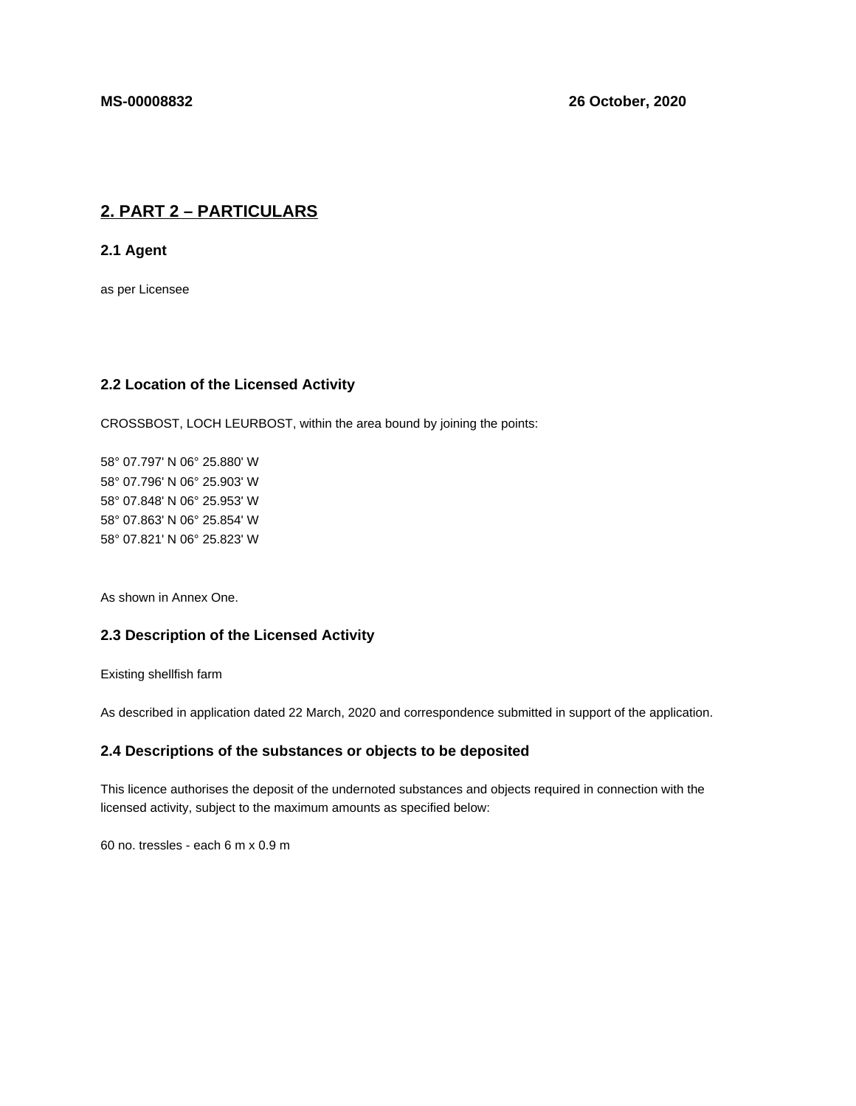# **2. PART 2 – PARTICULARS**

**2.1 Agent**

as per Licensee

# **2.2 Location of the Licensed Activity**

CROSSBOST, LOCH LEURBOST, within the area bound by joining the points:

58° 07.797' N 06° 25.880' W 58° 07.796' N 06° 25.903' W 58° 07.848' N 06° 25.953' W 58° 07.863' N 06° 25.854' W 58° 07.821' N 06° 25.823' W

As shown in Annex One.

## **2.3 Description of the Licensed Activity**

Existing shellfish farm

As described in application dated 22 March, 2020 and correspondence submitted in support of the application.

### **2.4 Descriptions of the substances or objects to be deposited**

This licence authorises the deposit of the undernoted substances and objects required in connection with the licensed activity, subject to the maximum amounts as specified below:

60 no. tressles - each 6 m x 0.9 m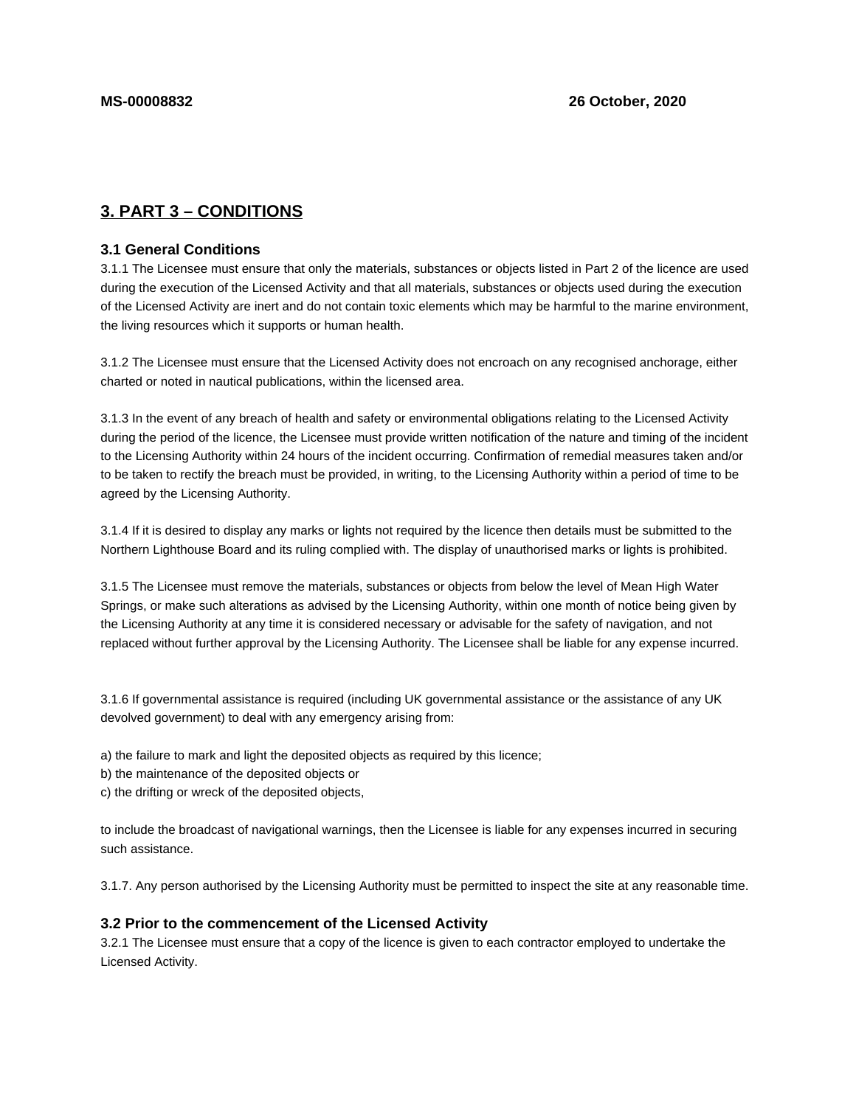# **3. PART 3 – CONDITIONS**

## **3.1 General Conditions**

3.1.1 The Licensee must ensure that only the materials, substances or objects listed in Part 2 of the licence are used during the execution of the Licensed Activity and that all materials, substances or objects used during the execution of the Licensed Activity are inert and do not contain toxic elements which may be harmful to the marine environment, the living resources which it supports or human health.

3.1.2 The Licensee must ensure that the Licensed Activity does not encroach on any recognised anchorage, either charted or noted in nautical publications, within the licensed area.

3.1.3 In the event of any breach of health and safety or environmental obligations relating to the Licensed Activity during the period of the licence, the Licensee must provide written notification of the nature and timing of the incident to the Licensing Authority within 24 hours of the incident occurring. Confirmation of remedial measures taken and/or to be taken to rectify the breach must be provided, in writing, to the Licensing Authority within a period of time to be agreed by the Licensing Authority.

3.1.4 If it is desired to display any marks or lights not required by the licence then details must be submitted to the Northern Lighthouse Board and its ruling complied with. The display of unauthorised marks or lights is prohibited.

3.1.5 The Licensee must remove the materials, substances or objects from below the level of Mean High Water Springs, or make such alterations as advised by the Licensing Authority, within one month of notice being given by the Licensing Authority at any time it is considered necessary or advisable for the safety of navigation, and not replaced without further approval by the Licensing Authority. The Licensee shall be liable for any expense incurred.

3.1.6 If governmental assistance is required (including UK governmental assistance or the assistance of any UK devolved government) to deal with any emergency arising from:

- a) the failure to mark and light the deposited objects as required by this licence;
- b) the maintenance of the deposited objects or
- c) the drifting or wreck of the deposited objects,

to include the broadcast of navigational warnings, then the Licensee is liable for any expenses incurred in securing such assistance.

3.1.7. Any person authorised by the Licensing Authority must be permitted to inspect the site at any reasonable time.

#### **3.2 Prior to the commencement of the Licensed Activity**

3.2.1 The Licensee must ensure that a copy of the licence is given to each contractor employed to undertake the Licensed Activity.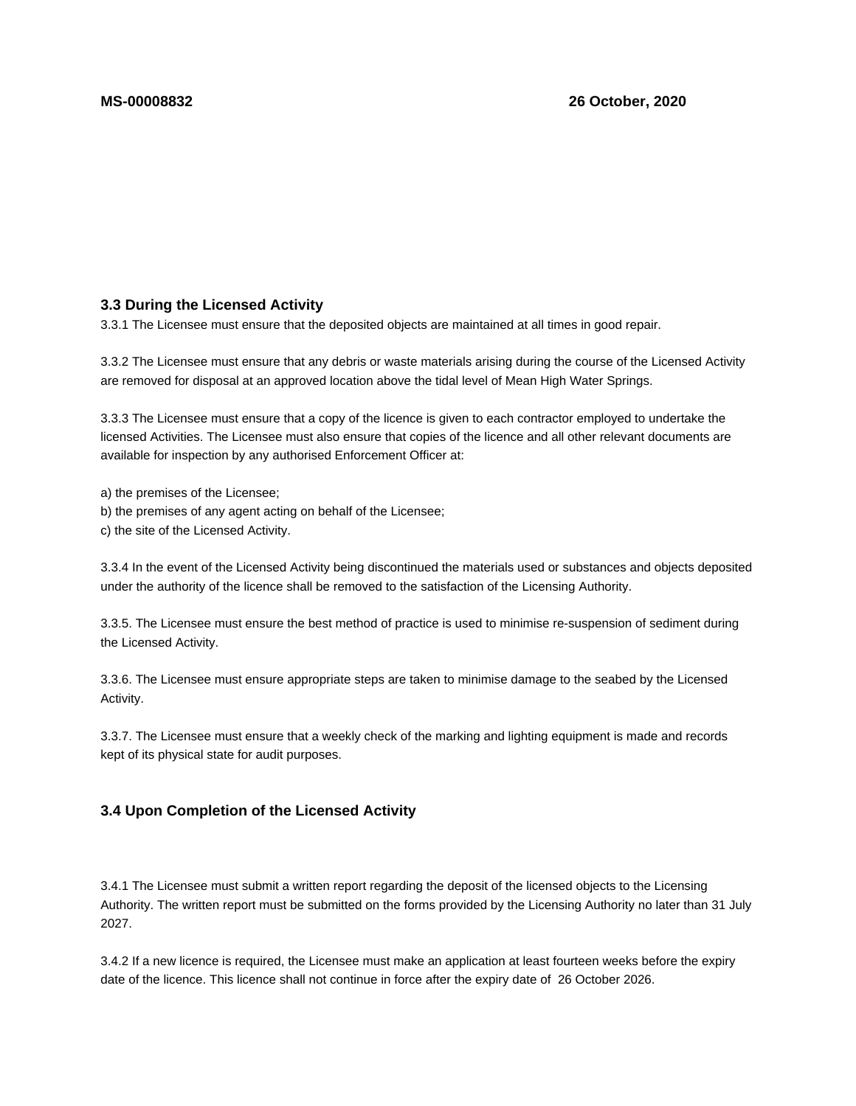## **3.3 During the Licensed Activity**

3.3.1 The Licensee must ensure that the deposited objects are maintained at all times in good repair.

3.3.2 The Licensee must ensure that any debris or waste materials arising during the course of the Licensed Activity are removed for disposal at an approved location above the tidal level of Mean High Water Springs.

3.3.3 The Licensee must ensure that a copy of the licence is given to each contractor employed to undertake the licensed Activities. The Licensee must also ensure that copies of the licence and all other relevant documents are available for inspection by any authorised Enforcement Officer at:

a) the premises of the Licensee; b) the premises of any agent acting on behalf of the Licensee; c) the site of the Licensed Activity.

3.3.4 In the event of the Licensed Activity being discontinued the materials used or substances and objects deposited under the authority of the licence shall be removed to the satisfaction of the Licensing Authority.

3.3.5. The Licensee must ensure the best method of practice is used to minimise re-suspension of sediment during the Licensed Activity.

3.3.6. The Licensee must ensure appropriate steps are taken to minimise damage to the seabed by the Licensed Activity.

3.3.7. The Licensee must ensure that a weekly check of the marking and lighting equipment is made and records kept of its physical state for audit purposes.

## **3.4 Upon Completion of the Licensed Activity**

3.4.1 The Licensee must submit a written report regarding the deposit of the licensed objects to the Licensing Authority. The written report must be submitted on the forms provided by the Licensing Authority no later than 31 July 2027.

3.4.2 If a new licence is required, the Licensee must make an application at least fourteen weeks before the expiry date of the licence. This licence shall not continue in force after the expiry date of 26 October 2026.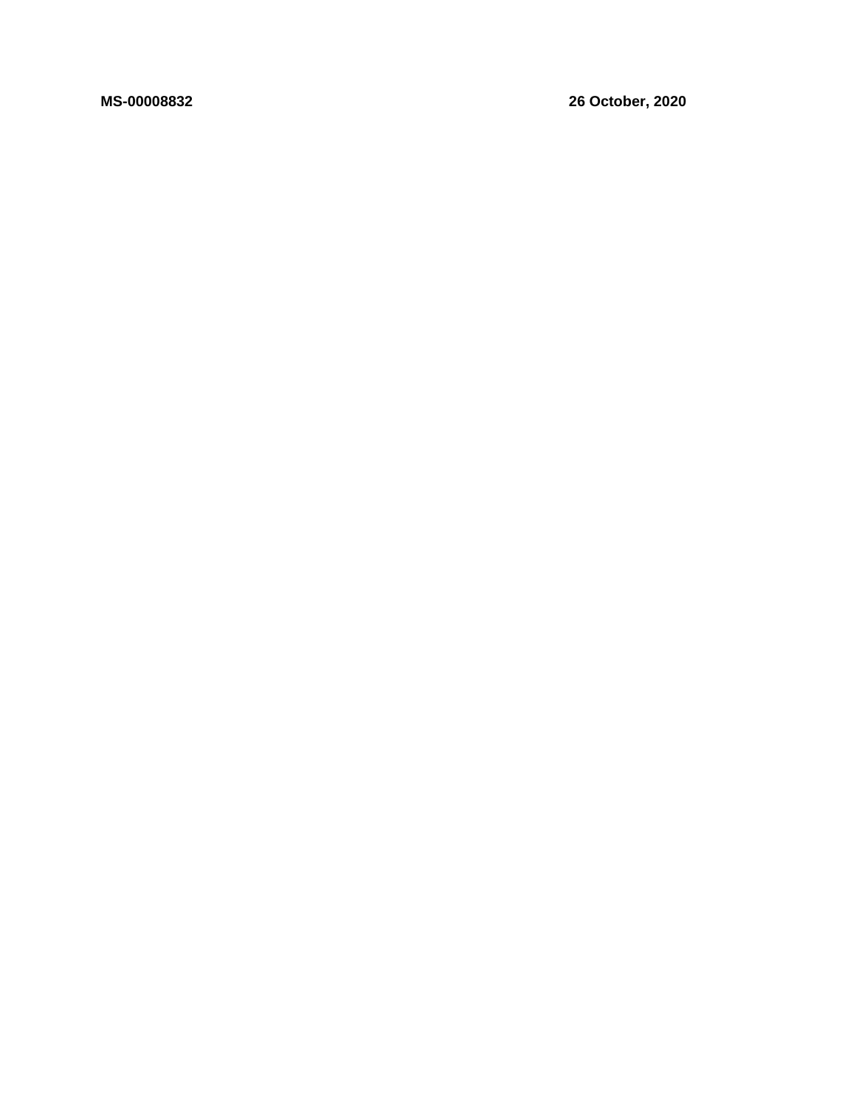**MS-00008832 26 October, 2020**